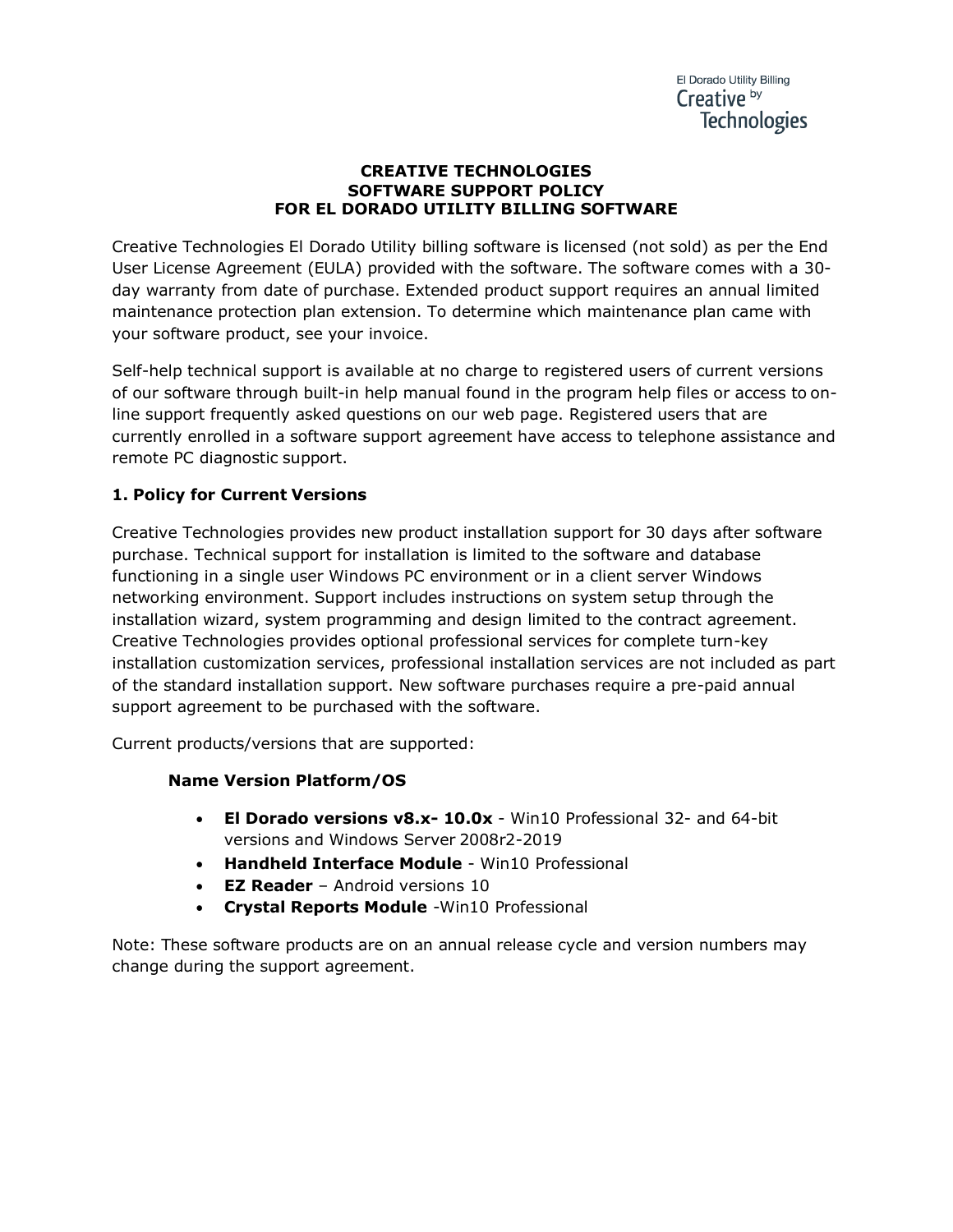#### **CREATIVE TECHNOLOGIES SOFTWARE SUPPORT POLICY FOR EL DORADO UTILITY BILLING SOFTWARE**

Creative Technologies El Dorado Utility billing software is licensed (not sold) as per the End User License Agreement (EULA) provided with the software. The software comes with a 30 day warranty from date of purchase. Extended product support requires an annual limited maintenance protection plan extension. To determine which maintenance plan came with your software product, see your invoice.

Self-help technical support is available at no charge to registered users of current versions of our software through built-in help manual found in the program help files or access to online support frequently asked questions on our web page. Registered users that are currently enrolled in a software support agreement have access to telephone assistance and remote PC diagnostic support.

# **1. Policy for Current Versions**

Creative Technologies provides new product installation support for 30 days after software purchase. Technical support for installation is limited to the software and database functioning in a single user Windows PC environment or in a client server Windows networking environment. Support includes instructions on system setup through the installation wizard, system programming and design limited to the contract agreement. Creative Technologies provides optional professional services for complete turn-key installation customization services, professional installation services are not included as part of the standard installation support. New software purchases require a pre-paid annual support agreement to be purchased with the software.

Current products/versions that are supported:

# **Name Version Platform/OS**

- **El Dorado versions v8.x- 10.0x** Win10 Professional 32- and 64-bit versions and Windows Server 2008r2-2019
- **Handheld Interface Module** Win10 Professional
- **EZ Reader** Android versions 10
- **Crystal Reports Module** -Win10 Professional

Note: These software products are on an annual release cycle and version numbers may change during the support agreement.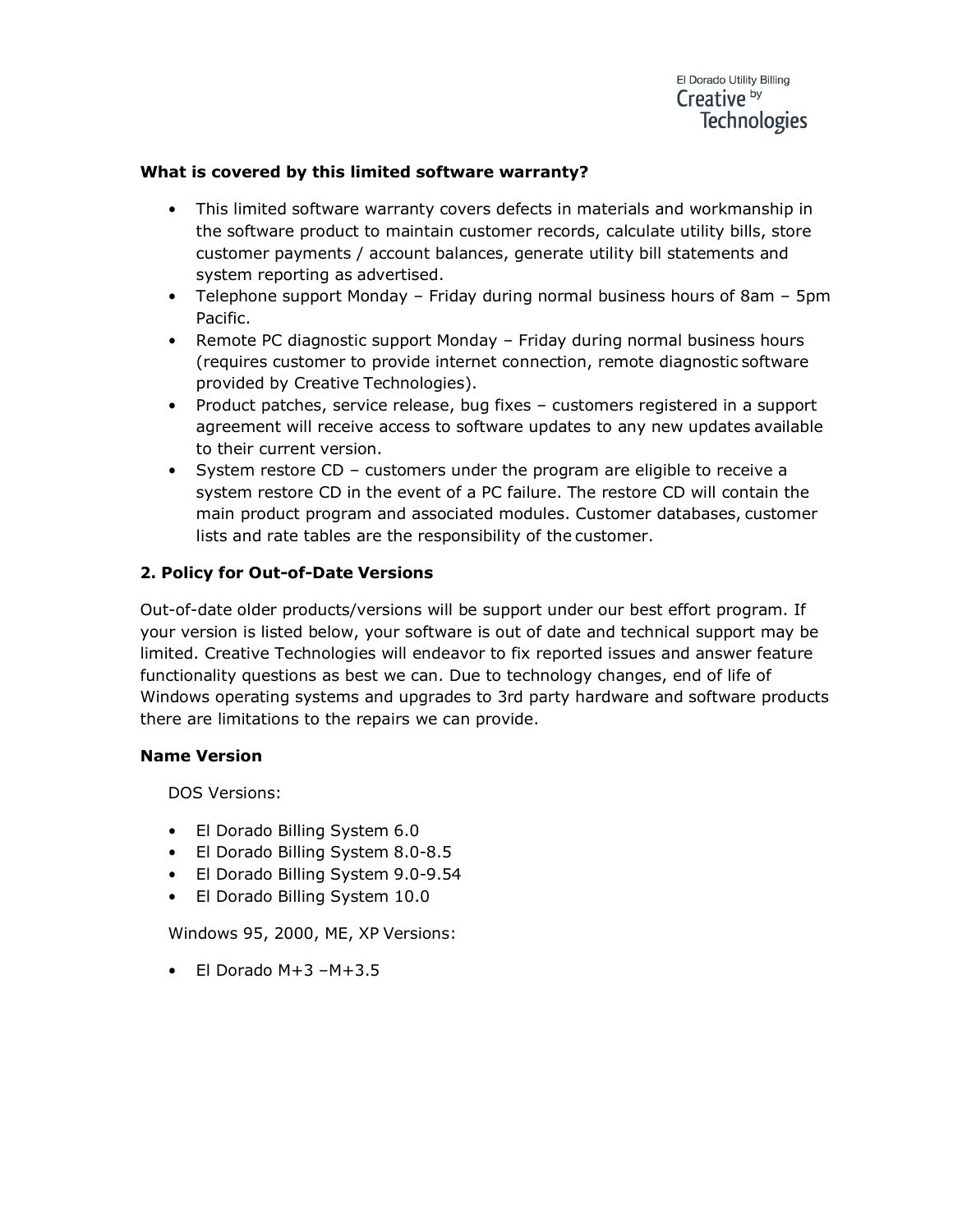## **What is covered by this limited software warranty?**

- This limited software warranty covers defects in materials and workmanship in the software product to maintain customer records, calculate utility bills, store customer payments / account balances, generate utility bill statements and system reporting as advertised.
- Telephone support Monday Friday during normal business hours of 8am 5pm Pacific.
- Remote PC diagnostic support Monday Friday during normal business hours (requires customer to provide internet connection, remote diagnostic software provided by Creative Technologies).
- Product patches, service release, bug fixes customers registered in a support agreement will receive access to software updates to any new updates available to their current version.
- System restore CD customers under the program are eligible to receive a system restore CD in the event of a PC failure. The restore CD will contain the main product program and associated modules. Customer databases, customer lists and rate tables are the responsibility of the customer.

# **2. Policy for Out-of-Date Versions**

Out-of-date older products/versions will be support under our best effort program. If your version is listed below, your software is out of date and technical support may be limited. Creative Technologies will endeavor to fix reported issues and answer feature functionality questions as best we can. Due to technology changes, end of life of Windows operating systems and upgrades to 3rd party hardware and software products there are limitations to the repairs we can provide.

#### **Name Version**

DOS Versions:

- El Dorado Billing System 6.0
- El Dorado Billing System 8.0-8.5
- El Dorado Billing System 9.0-9.54
- El Dorado Billing System 10.0

Windows 95, 2000, ME, XP Versions:

 $\bullet$  El Dorado M+3 – M+3.5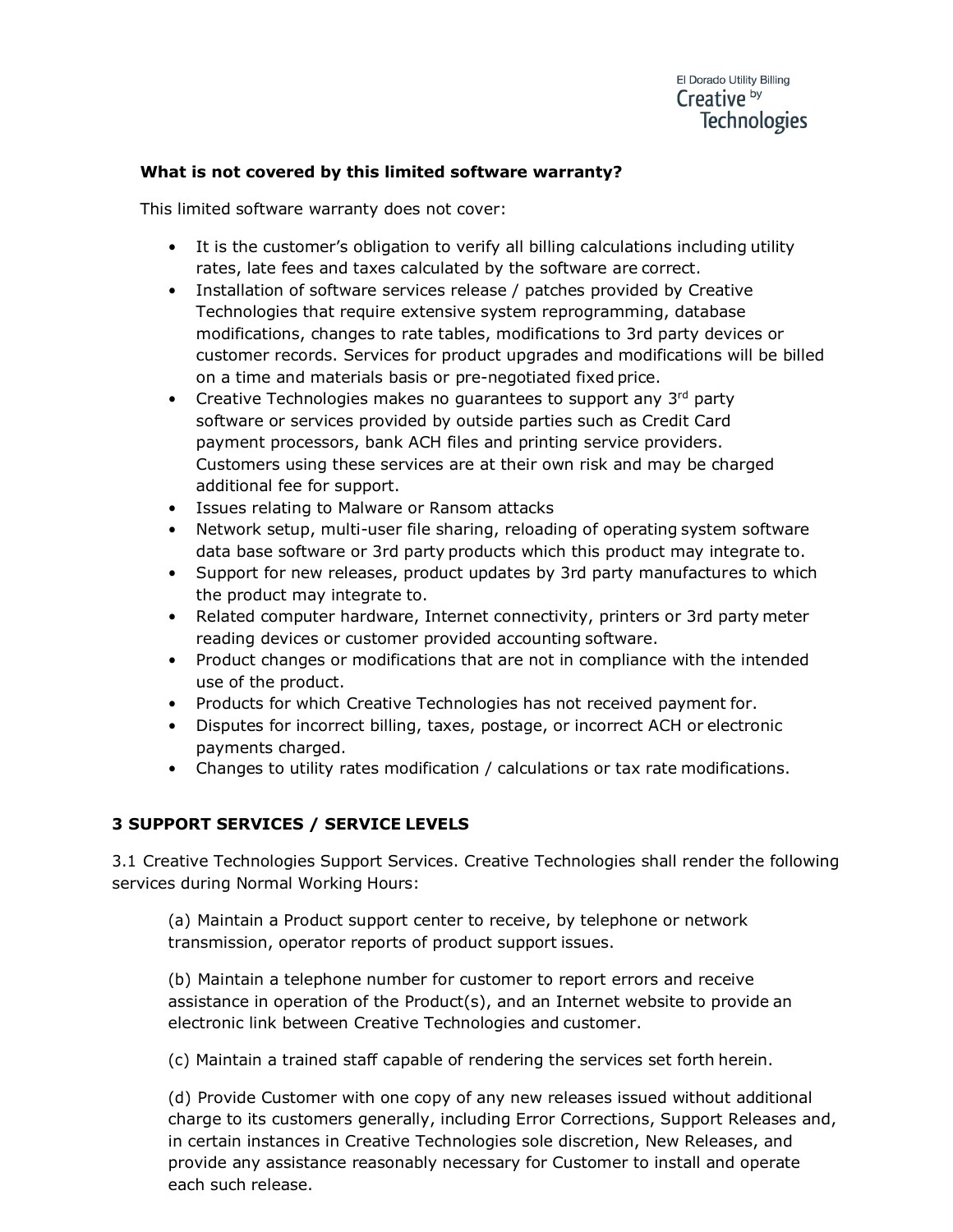# **What is not covered by this limited software warranty?**

This limited software warranty does not cover:

- It is the customer's obligation to verify all billing calculations including utility rates, late fees and taxes calculated by the software are correct.
- Installation of software services release / patches provided by Creative Technologies that require extensive system reprogramming, database modifications, changes to rate tables, modifications to 3rd party devices or customer records. Services for product upgrades and modifications will be billed on a time and materials basis or pre-negotiated fixed price.
- Creative Technologies makes no guarantees to support any  $3<sup>rd</sup>$  party software or services provided by outside parties such as Credit Card payment processors, bank ACH files and printing service providers. Customers using these services are at their own risk and may be charged additional fee for support.
- Issues relating to Malware or Ransom attacks
- Network setup, multi-user file sharing, reloading of operating system software data base software or 3rd party products which this product may integrate to.
- Support for new releases, product updates by 3rd party manufactures to which the product may integrate to.
- Related computer hardware, Internet connectivity, printers or 3rd party meter reading devices or customer provided accounting software.
- Product changes or modifications that are not in compliance with the intended use of the product.
- Products for which Creative Technologies has not received payment for.
- Disputes for incorrect billing, taxes, postage, or incorrect ACH or electronic payments charged.
- Changes to utility rates modification / calculations or tax rate modifications.

# **3 SUPPORT SERVICES / SERVICE LEVELS**

3.1 Creative Technologies Support Services. Creative Technologies shall render the following services during Normal Working Hours:

(a) Maintain a Product support center to receive, by telephone or network transmission, operator reports of product support issues.

(b) Maintain a telephone number for customer to report errors and receive assistance in operation of the Product(s), and an Internet website to provide an electronic link between Creative Technologies and customer.

(c) Maintain a trained staff capable of rendering the services set forth herein.

(d) Provide Customer with one copy of any new releases issued without additional charge to its customers generally, including Error Corrections, Support Releases and, in certain instances in Creative Technologies sole discretion, New Releases, and provide any assistance reasonably necessary for Customer to install and operate each such release.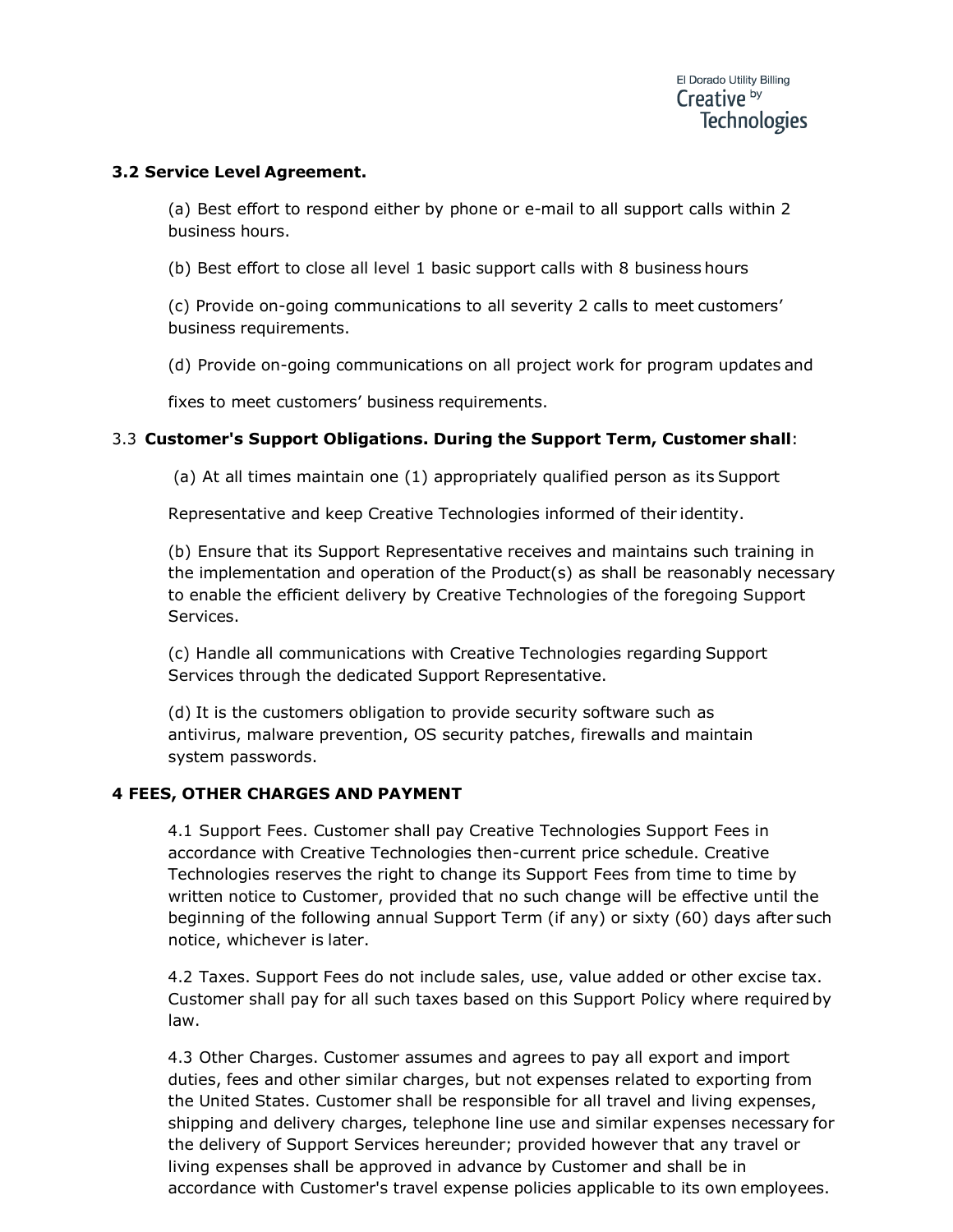## **3.2 Service Level Agreement.**

(a) Best effort to respond either by phone or e-mail to all support calls within 2 business hours.

(b) Best effort to close all level 1 basic support calls with 8 business hours

(c) Provide on-going communications to all severity 2 calls to meet customers' business requirements.

(d) Provide on-going communications on all project work for program updates and

fixes to meet customers' business requirements.

## 3.3 **Customer's Support Obligations. During the Support Term, Customer shall**:

(a) At all times maintain one (1) appropriately qualified person as its Support

Representative and keep Creative Technologies informed of their identity.

(b) Ensure that its Support Representative receives and maintains such training in the implementation and operation of the Product(s) as shall be reasonably necessary to enable the efficient delivery by Creative Technologies of the foregoing Support Services.

(c) Handle all communications with Creative Technologies regarding Support Services through the dedicated Support Representative.

(d) It is the customers obligation to provide security software such as antivirus, malware prevention, OS security patches, firewalls and maintain system passwords.

#### **4 FEES, OTHER CHARGES AND PAYMENT**

4.1 Support Fees. Customer shall pay Creative Technologies Support Fees in accordance with Creative Technologies then-current price schedule. Creative Technologies reserves the right to change its Support Fees from time to time by written notice to Customer, provided that no such change will be effective until the beginning of the following annual Support Term (if any) or sixty (60) days after such notice, whichever is later.

4.2 Taxes. Support Fees do not include sales, use, value added or other excise tax. Customer shall pay for all such taxes based on this Support Policy where required by law.

4.3 Other Charges. Customer assumes and agrees to pay all export and import duties, fees and other similar charges, but not expenses related to exporting from the United States. Customer shall be responsible for all travel and living expenses, shipping and delivery charges, telephone line use and similar expenses necessary for the delivery of Support Services hereunder; provided however that any travel or living expenses shall be approved in advance by Customer and shall be in accordance with Customer's travel expense policies applicable to its own employees.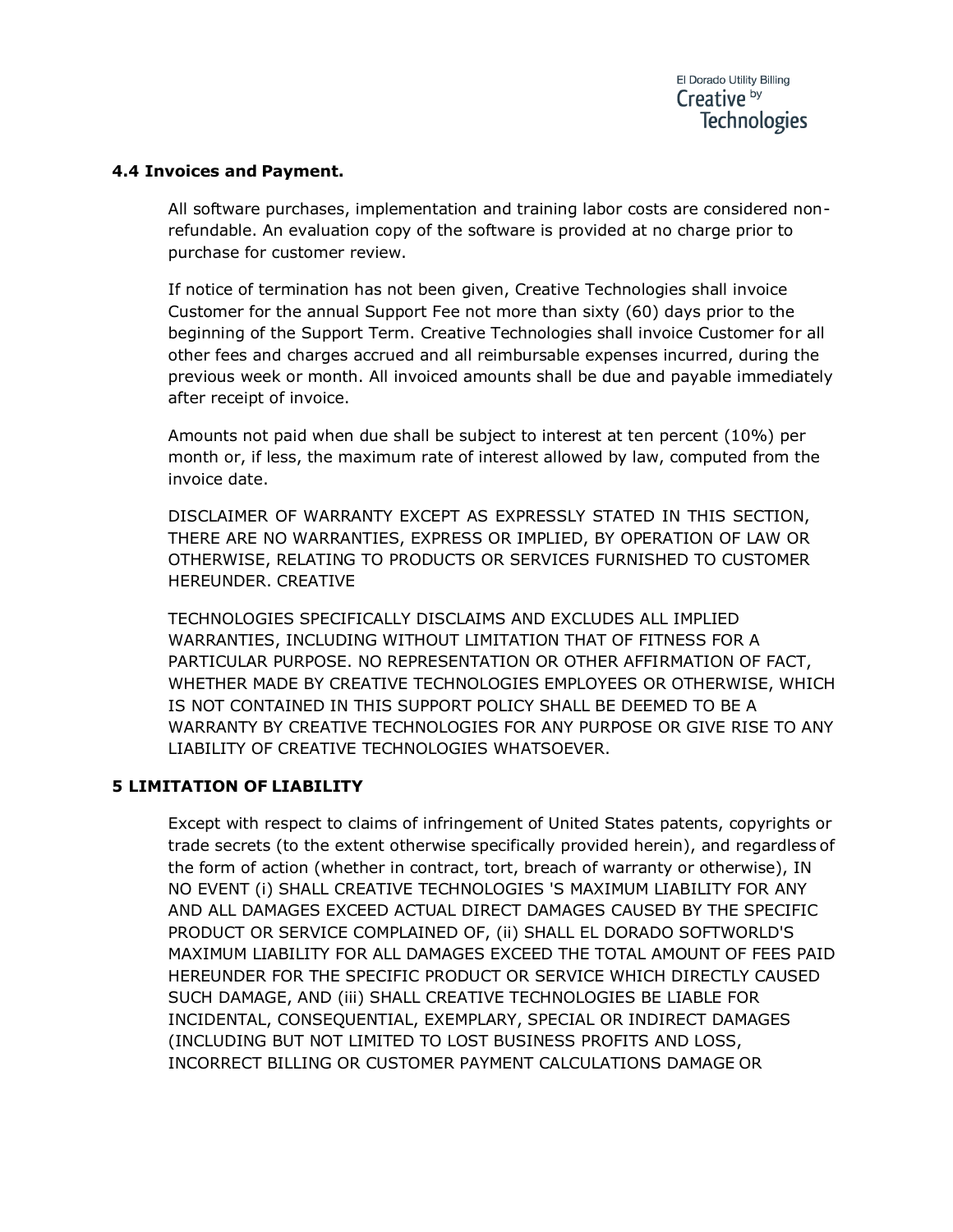## **4.4 Invoices and Payment.**

All software purchases, implementation and training labor costs are considered nonrefundable. An evaluation copy of the software is provided at no charge prior to purchase for customer review.

If notice of termination has not been given, Creative Technologies shall invoice Customer for the annual Support Fee not more than sixty (60) days prior to the beginning of the Support Term. Creative Technologies shall invoice Customer for all other fees and charges accrued and all reimbursable expenses incurred, during the previous week or month. All invoiced amounts shall be due and payable immediately after receipt of invoice.

Amounts not paid when due shall be subject to interest at ten percent (10%) per month or, if less, the maximum rate of interest allowed by law, computed from the invoice date.

DISCLAIMER OF WARRANTY EXCEPT AS EXPRESSLY STATED IN THIS SECTION, THERE ARE NO WARRANTIES, EXPRESS OR IMPLIED, BY OPERATION OF LAW OR OTHERWISE, RELATING TO PRODUCTS OR SERVICES FURNISHED TO CUSTOMER HEREUNDER. CREATIVE

TECHNOLOGIES SPECIFICALLY DISCLAIMS AND EXCLUDES ALL IMPLIED WARRANTIES, INCLUDING WITHOUT LIMITATION THAT OF FITNESS FOR A PARTICULAR PURPOSE. NO REPRESENTATION OR OTHER AFFIRMATION OF FACT, WHETHER MADE BY CREATIVE TECHNOLOGIES EMPLOYEES OR OTHERWISE, WHICH IS NOT CONTAINED IN THIS SUPPORT POLICY SHALL BE DEEMED TO BE A WARRANTY BY CREATIVE TECHNOLOGIES FOR ANY PURPOSE OR GIVE RISE TO ANY LIABILITY OF CREATIVE TECHNOLOGIES WHATSOEVER.

# **5 LIMITATION OF LIABILITY**

Except with respect to claims of infringement of United States patents, copyrights or trade secrets (to the extent otherwise specifically provided herein), and regardless of the form of action (whether in contract, tort, breach of warranty or otherwise), IN NO EVENT (i) SHALL CREATIVE TECHNOLOGIES 'S MAXIMUM LIABILITY FOR ANY AND ALL DAMAGES EXCEED ACTUAL DIRECT DAMAGES CAUSED BY THE SPECIFIC PRODUCT OR SERVICE COMPLAINED OF, (ii) SHALL EL DORADO SOFTWORLD'S MAXIMUM LIABILITY FOR ALL DAMAGES EXCEED THE TOTAL AMOUNT OF FEES PAID HEREUNDER FOR THE SPECIFIC PRODUCT OR SERVICE WHICH DIRECTLY CAUSED SUCH DAMAGE, AND (iii) SHALL CREATIVE TECHNOLOGIES BE LIABLE FOR INCIDENTAL, CONSEQUENTIAL, EXEMPLARY, SPECIAL OR INDIRECT DAMAGES (INCLUDING BUT NOT LIMITED TO LOST BUSINESS PROFITS AND LOSS, INCORRECT BILLING OR CUSTOMER PAYMENT CALCULATIONS DAMAGE OR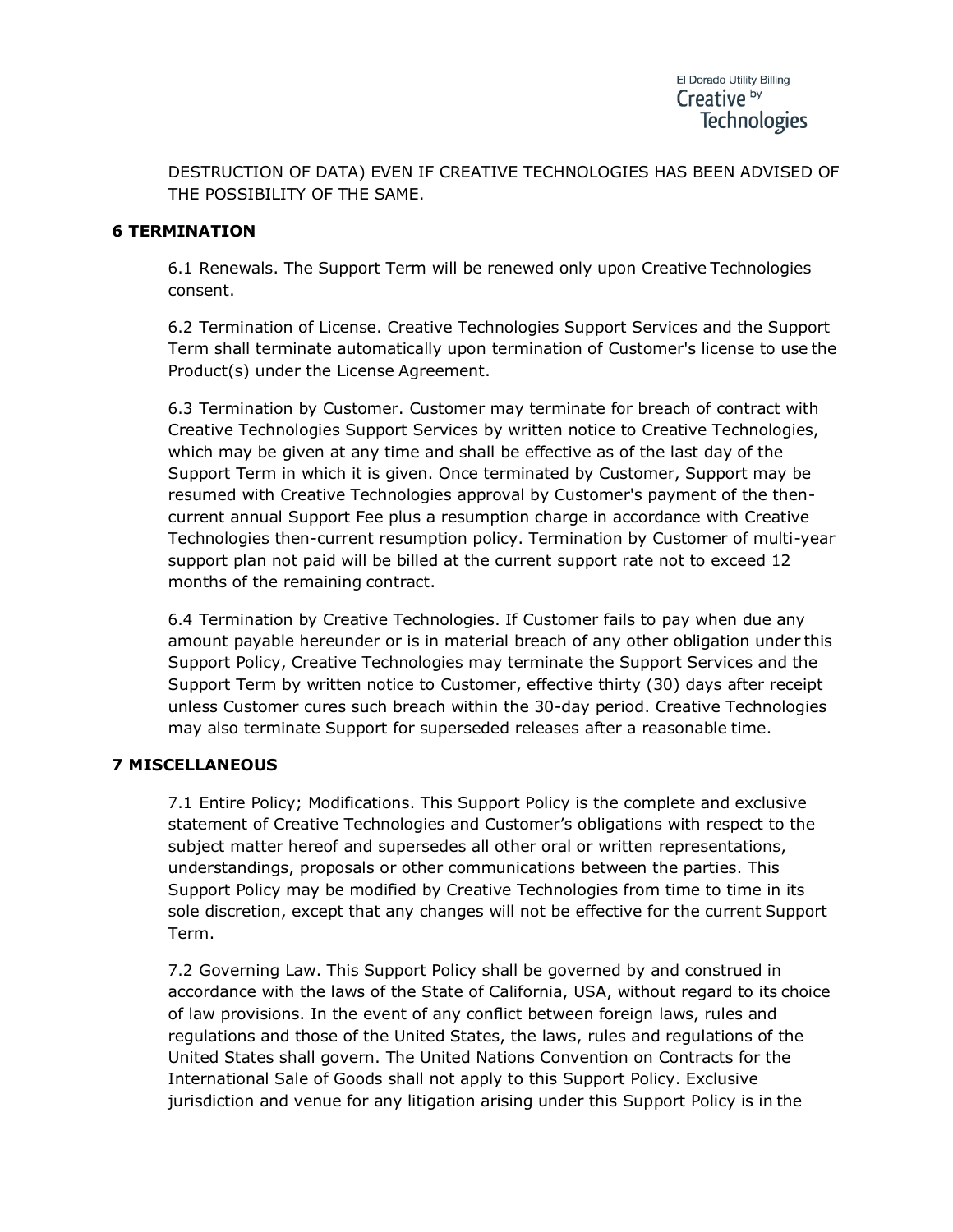DESTRUCTION OF DATA) EVEN IF CREATIVE TECHNOLOGIES HAS BEEN ADVISED OF THE POSSIBILITY OF THE SAME.

#### **6 TERMINATION**

6.1 Renewals. The Support Term will be renewed only upon Creative Technologies consent.

6.2 Termination of License. Creative Technologies Support Services and the Support Term shall terminate automatically upon termination of Customer's license to use the Product(s) under the License Agreement.

6.3 Termination by Customer. Customer may terminate for breach of contract with Creative Technologies Support Services by written notice to Creative Technologies, which may be given at any time and shall be effective as of the last day of the Support Term in which it is given. Once terminated by Customer, Support may be resumed with Creative Technologies approval by Customer's payment of the thencurrent annual Support Fee plus a resumption charge in accordance with Creative Technologies then-current resumption policy. Termination by Customer of multi-year support plan not paid will be billed at the current support rate not to exceed 12 months of the remaining contract.

6.4 Termination by Creative Technologies. If Customer fails to pay when due any amount payable hereunder or is in material breach of any other obligation under this Support Policy, Creative Technologies may terminate the Support Services and the Support Term by written notice to Customer, effective thirty (30) days after receipt unless Customer cures such breach within the 30-day period. Creative Technologies may also terminate Support for superseded releases after a reasonable time.

# **7 MISCELLANEOUS**

7.1 Entire Policy; Modifications. This Support Policy is the complete and exclusive statement of Creative Technologies and Customer's obligations with respect to the subject matter hereof and supersedes all other oral or written representations, understandings, proposals or other communications between the parties. This Support Policy may be modified by Creative Technologies from time to time in its sole discretion, except that any changes will not be effective for the current Support Term.

7.2 Governing Law. This Support Policy shall be governed by and construed in accordance with the laws of the State of California, USA, without regard to its choice of law provisions. In the event of any conflict between foreign laws, rules and regulations and those of the United States, the laws, rules and regulations of the United States shall govern. The United Nations Convention on Contracts for the International Sale of Goods shall not apply to this Support Policy. Exclusive jurisdiction and venue for any litigation arising under this Support Policy is in the